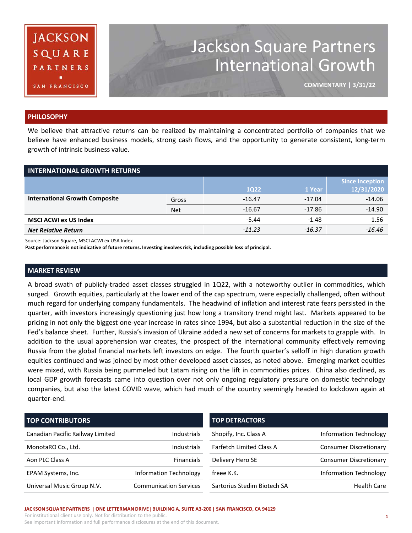

# Jackson Square Partners International Growth

**COMMENTARY | 3/31/22**

#### **PHILOSOPHY**

We believe that attractive returns can be realized by maintaining a concentrated portfolio of companies that we believe have enhanced business models, strong cash flows, and the opportunity to generate consistent, long-term growth of intrinsic business value.

| <b>INTERNATIONAL GROWTH RETURNS</b>   |            |             |          |                                      |  |  |  |  |
|---------------------------------------|------------|-------------|----------|--------------------------------------|--|--|--|--|
|                                       |            | <b>1Q22</b> | 1 Year   | <b>Since Inception</b><br>12/31/2020 |  |  |  |  |
| <b>International Growth Composite</b> | Gross      | $-16.47$    | $-17.04$ | $-14.06$                             |  |  |  |  |
|                                       | <b>Net</b> | $-16.67$    | $-17.86$ | $-14.90$                             |  |  |  |  |
| <b>MSCI ACWI ex US Index</b>          | $-5.44$    | $-1.48$     | 1.56     |                                      |  |  |  |  |
| <b>Net Relative Return</b>            | $-11.23$   | $-16.37$    | $-16.46$ |                                      |  |  |  |  |

Source: Jackson Square, MSCI ACWI ex USA Index

**Past performance is not indicative of future returns. Investing involves risk, including possible loss of principal.**

#### **MARKET REVIEW**

A broad swath of publicly-traded asset classes struggled in 1Q22, with a noteworthy outlier in commodities, which surged. Growth equities, particularly at the lower end of the cap spectrum, were especially challenged, often without much regard for underlying company fundamentals. The headwind of inflation and interest rate fears persisted in the quarter, with investors increasingly questioning just how long a transitory trend might last. Markets appeared to be pricing in not only the biggest one-year increase in rates since 1994, but also a substantial reduction in the size of the Fed's balance sheet. Further, Russia's invasion of Ukraine added a new set of concerns for markets to grapple with. In addition to the usual apprehension war creates, the prospect of the international community effectively removing Russia from the global financial markets left investors on edge. The fourth quarter's selloff in high duration growth equities continued and was joined by most other developed asset classes, as noted above. Emerging market equities were mixed, with Russia being pummeled but Latam rising on the lift in commodities prices. China also declined, as local GDP growth forecasts came into question over not only ongoing regulatory pressure on domestic technology companies, but also the latest COVID wave, which had much of the country seemingly headed to lockdown again at quarter-end.

| <b>TOP CONTRIBUTORS</b>          |                               | <b>TOP DETRACTORS</b>           |                               |  |  |
|----------------------------------|-------------------------------|---------------------------------|-------------------------------|--|--|
| Canadian Pacific Railway Limited | <b>Industrials</b>            | Shopify, Inc. Class A           | <b>Information Technology</b> |  |  |
| MonotaRO Co., Ltd.               | <b>Industrials</b>            | <b>Farfetch Limited Class A</b> | <b>Consumer Discretionary</b> |  |  |
| Aon PLC Class A                  | <b>Financials</b>             | Delivery Hero SE                | <b>Consumer Discretionary</b> |  |  |
| EPAM Systems, Inc.               | <b>Information Technology</b> | freee K.K.                      | <b>Information Technology</b> |  |  |
| Universal Music Group N.V.       | <b>Communication Services</b> | Sartorius Stedim Biotech SA     | <b>Health Care</b>            |  |  |

#### **JACKSON SQUARE PARTNERS | ONE LETTERMAN DRIVE| BUILDING A, SUITE A3-200 | SAN FRANCISCO, CA 94129**

For institutional client use only. Not for distribution to the public. See important information and full performance disclosures at the end of this document.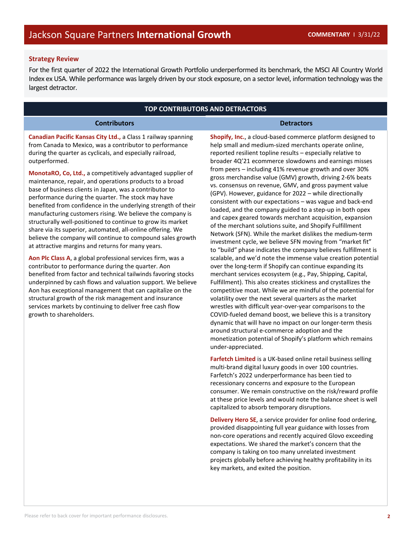## **Strategy Review**

For the first quarter of 2022 the International Growth Portfolio underperformed its benchmark, the MSCI All Country World Index ex USA. While performance was largely driven by our stock exposure, on a sector level, information technology was the largest detractor.

# **TOP CONTRIBUTORS AND DETRACTORS**

#### **Contributors Detractors**

**Canadian Pacific Kansas City Ltd.,** a Class 1 railway spanning from Canada to Mexico, was a contributor to performance during the quarter as cyclicals, and especially railroad, outperformed.

**MonotaRO, Co, Ltd.,** a competitively advantaged supplier of maintenance, repair, and operations products to a broad base of business clients in Japan, was a contributor to performance during the quarter. The stock may have benefited from confidence in the underlying strength of their manufacturing customers rising. We believe the company is structurally well-positioned to continue to grow its market share via its superior, automated, all-online offering. We believe the company will continue to compound sales growth at attractive margins and returns for many years.

**Aon Plc Class A**, a global professional services firm, was a contributor to performance during the quarter. Aon benefited from factor and technical tailwinds favoring stocks underpinned by cash flows and valuation support. We believe Aon has exceptional management that can capitalize on the structural growth of the risk management and insurance services markets by continuing to deliver free cash flow growth to shareholders.

**Shopify, Inc.**, a cloud-based commerce platform designed to help small and medium-sized merchants operate online, reported resilient topline results – especially relative to broader 4Q'21 ecommerce slowdowns and earnings misses from peers – including 41% revenue growth and over 30% gross merchandise value (GMV) growth, driving 2-6% beats vs. consensus on revenue, GMV, and gross payment value (GPV). However, guidance for 2022 – while directionally consistent with our expectations – was vague and back-end loaded, and the company guided to a step-up in both opex and capex geared towards merchant acquisition, expansion of the merchant solutions suite, and Shopify Fulfillment Network (SFN). While the market dislikes the medium-term investment cycle, we believe SFN moving from "market fit" to "build" phase indicates the company believes fulfillment is scalable, and we'd note the immense value creation potential over the long-term if Shopify can continue expanding its merchant services ecosystem (e.g., Pay, Shipping, Capital, Fulfillment). This also creates stickiness and crystallizes the competitive moat. While we are mindful of the potential for volatility over the next several quarters as the market wrestles with difficult year-over-year comparisons to the COVID-fueled demand boost, we believe this is a transitory dynamic that will have no impact on our longer-term thesis around structural e-commerce adoption and the monetization potential of Shopify's platform which remains under-appreciated.

**Farfetch Limited** is a UK-based online retail business selling multi-brand digital luxury goods in over 100 countries. Farfetch's 2022 underperformance has been tied to recessionary concerns and exposure to the European consumer. We remain constructive on the risk/reward profile at these price levels and would note the balance sheet is well capitalized to absorb temporary disruptions.

**Delivery Hero SE**, a service provider for online food ordering, provided disappointing full year guidance with losses from non-core operations and recently acquired Glovo exceeding expectations. We shared the market's concern that the company is taking on too many unrelated investment projects globally before achieving healthy profitability in its key markets, and exited the position.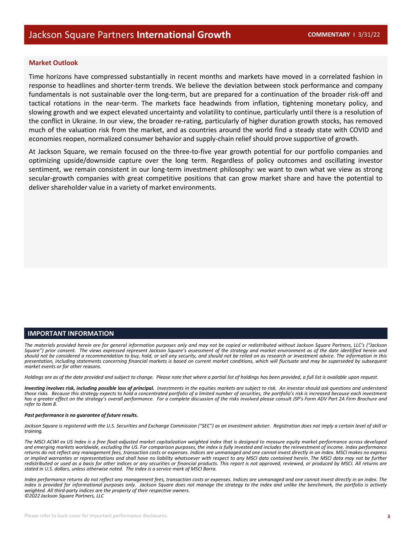#### **Market Outlook**

Time horizons have compressed substantially in recent months and markets have moved in a correlated fashion in response to headlines and shorter-term trends. We believe the deviation between stock performance and company fundamentals is not sustainable over the long-term, but are prepared for a continuation of the broader risk-off and tactical rotations in the near-term. The markets face headwinds from inflation, tightening monetary policy, and slowing growth and we expect elevated uncertainty and volatility to continue, particularly until there is a resolution of the conflict in Ukraine. In our view, the broader re-rating, particularly of higher duration growth stocks, has removed much of the valuation risk from the market, and as countries around the world find a steady state with COVID and economies reopen, normalized consumer behavior and supply-chain relief should prove supportive of growth.

At Jackson Square, we remain focused on the three-to-five year growth potential for our portfolio companies and optimizing upside/downside capture over the long term. Regardless of policy outcomes and oscillating investor sentiment, we remain consistent in our long-term investment philosophy: we want to own what we view as strong secular-growth companies with great competitive positions that can grow market share and have the potential to deliver shareholder value in a variety of market environments.

### **IMPORTANT INFORMATION**

The materials provided herein are for general information purposes only and may not be copied or redistributed without Jackson Saugre Partners, LLC's ("Jackson Square") prior consent. The views expressed represent Jackson Square's assessment of the strategy and market environment as of the date identified herein and should not be considered a recommendation to buy, hold, or sell any security, and should not be relied on as research or investment advice. The information in this presentation, including statements concerning financial markets is based on current market conditions, which will fluctuate and may be superseded by subsequent *market events or for other reasons.*

Holdings are as of the date provided and subject to change. Please note that where a partial list of holdings has been provided, a full list is available upon request.

Investing involves risk, including possible loss of principal. Investments in the equities markets are subject to risk. An investor should ask questions and understand those risks. Because this strategy expects to hold a concentrated portfolio of a limited number of securities, the portfolio's risk is increased because each investment has a greater effect on the strategy's overall performance. For a complete discussion of the risks involved please consult JSP's Form ADV Part 2A Firm Brochure and *refer to Item 8.*

#### *Past performance is no guarantee of future results.*

Jackson Square is registered with the U.S. Securities and Exchange Commission ("SEC") as an investment adviser. Registration does not imply a certain level of skill or<br>trainina.

The MSCI ACWI ex US Index is a free float-adjusted market capitalization weighted index that is designed to measure equity market performance across developed and emerging markets worldwide, excluding the US. For comparison purposes, the index is fully invested and includes the reinvestment of income. Index performance returns do not reflect any management fees, transaction costs or expenses. Indices are unmanaged and one cannot invest directly in an index. MSCI makes no express or implied warranties or representations and shall have no liability whatsoever with respect to any MSCI data contained herein. The MSCI data may not be further redistributed or used as a basis for other indices or any securities or financial products. This report is not approved, reviewed, or produced by MSCI. All returns are<br>stated in U.S. dollars, unless otherwise noted. The in

Index performance returns do not reflect any management fees, transaction costs or expenses. Indices are unmanaged and one cannot invest directly in an index. The index is provided for informational purposes only. Jackson Square does not manage the strategy to the index and unlike the benchmark, the portfolio is actively weighted. All third-party indices are the property of their respective owners.<br>©2022 Jackson Square Partners, LLC